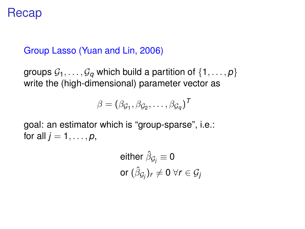## Recap

## Group Lasso (Yuan and Lin, 2006)

groups  $\mathcal{G}_1, \ldots, \mathcal{G}_q$  which build a partition of  $\{1, \ldots, p\}$ write the (high-dimensional) parameter vector as

$$
\beta = (\beta_{\mathcal{G}_1}, \beta_{\mathcal{G}_2}, \dots, \beta_{\mathcal{G}_q})^T
$$

goal: an estimator which is "group-sparse", i.e.: for all  $j = 1, \ldots, p$ ,

either 
$$
\hat{\beta}_{\mathcal{G}_j} \equiv 0
$$
  
or  $(\hat{\beta}_{\mathcal{G}_j})_r \neq 0 \,\forall r \in \mathcal{G}_j$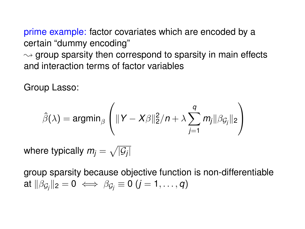prime example: factor covariates which are encoded by a certain "dummy encoding"  $\rightsquigarrow$  group sparsity then correspond to sparsity in main effects and interaction terms of factor variables

Group Lasso:

$$
\hat{\beta}(\lambda) = \operatorname{argmin}_{\beta} \left( ||Y - X\beta||_2^2 / n + \lambda \sum_{j=1}^q m_j ||\beta_{\mathcal{G}_j}||_2 \right)
$$

where typically  $m_{\tilde{l}}=\sqrt{|\mathcal{G}_{\tilde{l}}|}$ 

group sparsity because objective function is non-differentiable  $\mathsf{a} \mathsf{t} \, \|\beta_{\mathcal{G}_j}\|_2 = \mathsf{0} \iff \beta_{\mathcal{G}_j} \equiv \mathsf{0} \ (j = 1, \ldots, q)$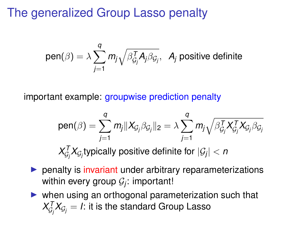## The generalized Group Lasso penalty

pen(
$$
\beta
$$
) =  $\lambda \sum_{j=1}^{q} m_j \sqrt{\beta_{\mathcal{G}_j}^T A_j \beta_{\mathcal{G}_j}}$ ,  $A_j$  positive definite

important example: groupwise prediction penalty

pen(
$$
\beta
$$
) =  $\sum_{j=1}^{q} m_j ||X_{G_j} \beta_{G_j}||_2 = \lambda \sum_{j=1}^{q} m_j \sqrt{\beta_{G_j}^T X_{G_j}^T X_{G_j} \beta_{G_j}}$   
 $X_{G_j}^T X_{G_j}$ typically positive definite for  $|G_j| < n$ 

- $\triangleright$  penalty is invariant under arbitrary reparameterizations within every group  $\mathcal{G}_j$ : important!
- $\triangleright$  when using an orthogonal parameterization such that  $\lambda_{\mathcal{G}_j}^{\mathcal{T}}\lambda_{\mathcal{G}_j} = \mathit{l}$ : it is the standard Group Lasso